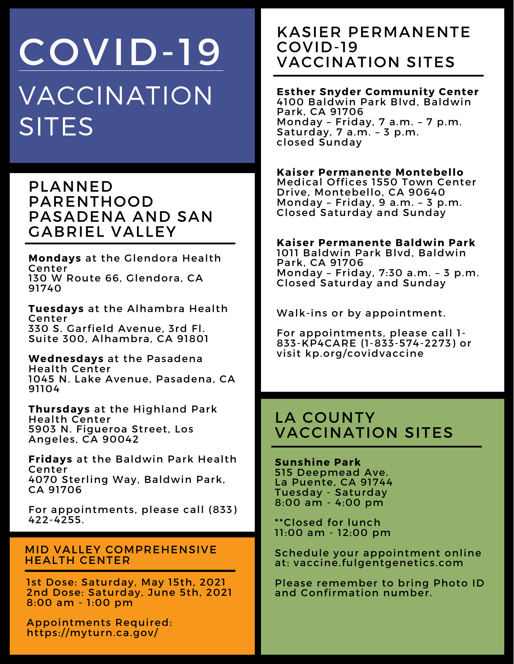# VACCINATION SITES COVID-19

PLANNED PARENTHOOD PASADENA AND SAN GABRIEL VALLEY

**Mondays** at the Glendora Health Center 130 W Route 66, Glendora, CA 91740

**Tuesdays** at the Alhambra Health Center 330 S. Garfield Avenue, 3rd Fl. Suite 300, Alhambra, CA 91801

**Wednesdays** at the Pasadena Health Center 1045 N. Lake Avenue, Pasadena, CA 91104

**Thursdays** at the Highland Park Health Center 5903 N. Figueroa Street, Los Angeles, CA 90042

**Fridays** at the Baldwin Park Health Center 4070 Sterling Way, Baldwin Park, CA 91706

For appointments, please call (833) 422-4255.

#### MID VALLEY COMPREHENSIVE HEALTH CENTER

1st Dose: Saturday, May 15th, 2021 2nd Dose: Saturday, June 5th, 2021 8:00 am - 1:00 pm

Appointments Required: https://myturn.ca.gov/

## KASIER PERMANENTE COVID-19 VACCINATION SITES

## **Esther Snyder Community Center**

4100 Baldwin Park Blvd, Baldwin Park, CA 91706 Monday – Friday, 7 a.m. – 7 p.m. Saturday, 7 a.m. – 3 p.m. closed Sunday

#### **Kaiser Permanente Montebello**

Medical Offices 1550 Town Center Drive, Montebello, CA 90640 Monday – Friday, 9 a.m. – 3 p.m. Closed Saturday and Sunday

#### **Kaiser Permanente Baldwin Park**

1011 Baldwin Park Blvd, Baldwin Park, CA 91706 Monday – Friday, 7:30 a.m. – 3 p.m. Closed Saturday and Sunday

Walk-ins or by appointment.

For appointments, please call 1- 833-KP4CARE (1-833-574-2273) or visit kp.org/covidvaccine

## LA COUNTY VACCINATION SITES

**Sunshine Park** 515 Deepmead Ave. La Puente, CA 91744 Tuesday - Saturday 8:00 am - 4:00 pm

\*\*Closed for lunch 11:00 am - 12:00 pm

Schedule your appointment online at: vaccine.fulgentgenetics.com

Please remember to bring Photo ID and Confirmation number.